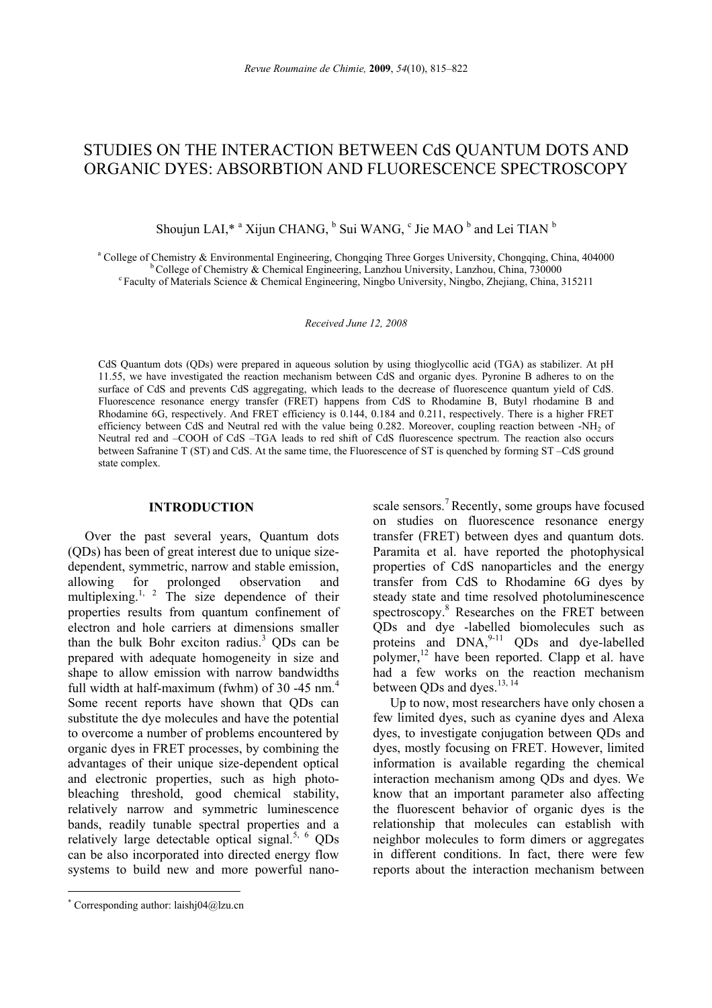# STUDIES ON THE INTERACTION BETWEEN CdS QUANTUM DOTS AND ORGANIC DYES: ABSORBTION AND FLUORESCENCE SPECTROSCOPY

Shoujun LAI,\* <sup>a</sup> Xijun CHANG, <sup>b</sup> Sui WANG, <sup>c</sup> Jie MAO <sup>b</sup> and Lei TIAN <sup>b</sup>

<sup>a</sup> College of Chemistry & Environmental Engineering, Chongging Three Gorges University, Chongging, China, 404000 <sup>b</sup> College of Chemistry & Chemical Engineering, Lanzhou University, Lanzhou, China, 730000<br><sup>c</sup> Faculty of Materials Science & Chemical Engineering, Ningbo University, Ningbo, Zhejiang, China, 315211

*Received June 12, 2008* 

CdS Quantum dots (QDs) were prepared in aqueous solution by using thioglycollic acid (TGA) as stabilizer. At pH 11.55, we have investigated the reaction mechanism between CdS and organic dyes. Pyronine B adheres to on the surface of CdS and prevents CdS aggregating, which leads to the decrease of fluorescence quantum yield of CdS. Fluorescence resonance energy transfer (FRET) happens from CdS to Rhodamine B, Butyl rhodamine B and Rhodamine 6G, respectively. And FRET efficiency is 0.144, 0.184 and 0.211, respectively. There is a higher FRET efficiency between CdS and Neutral red with the value being 0.282. Moreover, coupling reaction between -NH<sub>2</sub> of Neutral red and –COOH of CdS –TGA leads to red shift of CdS fluorescence spectrum. The reaction also occurs between Safranine T (ST) and CdS. At the same time, the Fluorescence of ST is quenched by forming ST –CdS ground state complex.

# **INTRODUCTION**<sup>∗</sup>

Over the past several years, Quantum dots (QDs) has been of great interest due to unique sizedependent, symmetric, narrow and stable emission, allowing for prolonged observation and multiplexing.<sup>1, 2</sup> The size dependence of their properties results from quantum confinement of electron and hole carriers at dimensions smaller than the bulk Bohr exciton radius.<sup>3</sup> QDs can be prepared with adequate homogeneity in size and shape to allow emission with narrow bandwidths full width at half-maximum (fwhm) of 30 -45 nm. $<sup>4</sup>$ </sup> Some recent reports have shown that QDs can substitute the dye molecules and have the potential to overcome a number of problems encountered by organic dyes in FRET processes, by combining the advantages of their unique size-dependent optical and electronic properties, such as high photobleaching threshold, good chemical stability, relatively narrow and symmetric luminescence bands, readily tunable spectral properties and a relatively large detectable optical signal.<sup>5, 6</sup> ODs can be also incorporated into directed energy flow systems to build new and more powerful nano-

 $\overline{a}$ 

scale sensors.<sup>7</sup> Recently, some groups have focused on studies on fluorescence resonance energy transfer (FRET) between dyes and quantum dots. Paramita et al. have reported the photophysical properties of CdS nanoparticles and the energy transfer from CdS to Rhodamine 6G dyes by steady state and time resolved photoluminescence spectroscopy.<sup>8</sup> Researches on the FRET between QDs and dye -labelled biomolecules such as proteins and  $DNA<sub>2</sub><sup>9-11</sup> QDs$  and dye-labelled polymer, $^{12}$  have been reported. Clapp et al. have had a few works on the reaction mechanism between QDs and dyes.<sup>13, 14</sup>

Up to now, most researchers have only chosen a few limited dyes, such as cyanine dyes and Alexa dyes, to investigate conjugation between QDs and dyes, mostly focusing on FRET. However, limited information is available regarding the chemical interaction mechanism among QDs and dyes. We know that an important parameter also affecting the fluorescent behavior of organic dyes is the relationship that molecules can establish with neighbor molecules to form dimers or aggregates in different conditions. In fact, there were few reports about the interaction mechanism between

<sup>∗</sup> Corresponding author: laishj04@lzu.cn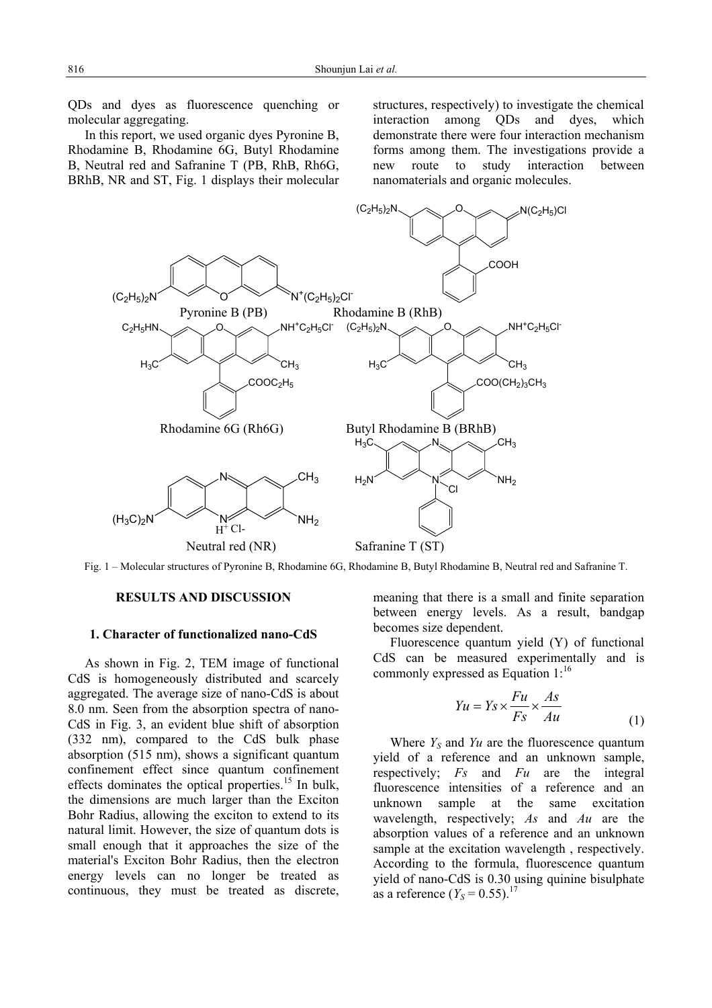QDs and dyes as fluorescence quenching or molecular aggregating.

In this report, we used organic dyes Pyronine B, Rhodamine B, Rhodamine 6G, Butyl Rhodamine B, Neutral red and Safranine T (PB, RhB, Rh6G, BRhB, NR and ST, Fig. 1 displays their molecular structures, respectively) to investigate the chemical interaction among QDs and dyes, which demonstrate there were four interaction mechanism forms among them. The investigations provide a new route to study interaction between nanomaterials and organic molecules.



Fig. 1 – Molecular structures of Pyronine B, Rhodamine 6G, Rhodamine B, Butyl Rhodamine B, Neutral red and Safranine T.

### **RESULTS AND DISCUSSION**

### **1. Character of functionalized nano-CdS**

As shown in Fig. 2, TEM image of functional CdS is homogeneously distributed and scarcely aggregated. The average size of nano-CdS is about 8.0 nm. Seen from the absorption spectra of nano-CdS in Fig. 3, an evident blue shift of absorption (332 nm), compared to the CdS bulk phase absorption (515 nm), shows a significant quantum confinement effect since quantum confinement effects dominates the optical properties.<sup>15</sup> In bulk, the dimensions are much larger than the Exciton Bohr Radius, allowing the exciton to extend to its natural limit. However, the size of quantum dots is small enough that it approaches the size of the material's Exciton Bohr Radius, then the electron energy levels can no longer be treated as continuous, they must be treated as discrete,

meaning that there is a small and finite separation between energy levels. As a result, bandgap becomes size dependent.

Fluorescence quantum yield (Y) of functional CdS can be measured experimentally and is commonly expressed as Equation  $1$ :<sup>16</sup>

$$
Yu = Ys \times \frac{Fu}{Fs} \times \frac{As}{Au}
$$
 (1)

Where  $Y_s$  and  $Yu$  are the fluorescence quantum yield of a reference and an unknown sample, respectively; *Fs* and *Fu* are the integral fluorescence intensities of a reference and an unknown sample at the same excitation wavelength, respectively; *As* and *Au* are the absorption values of a reference and an unknown sample at the excitation wavelength , respectively. According to the formula, fluorescence quantum yield of nano-CdS is 0.30 using quinine bisulphate as a reference  $(Y_S = 0.55)^{17}$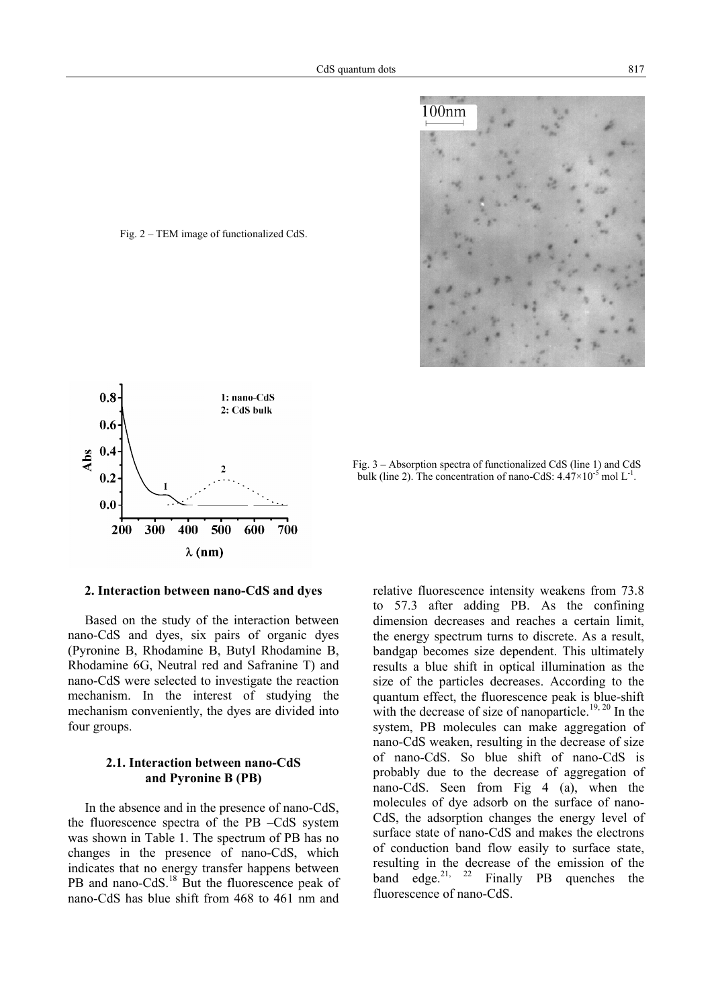

Fig. 2 – TEM image of functionalized CdS.



Fig. 3 – Absorption spectra of functionalized CdS (line 1) and CdS bulk (line 2). The concentration of nano-CdS:  $4.47 \times 10^{-5}$  mol L<sup>-1</sup>.

### **2. Interaction between nano-CdS and dyes**

Based on the study of the interaction between nano-CdS and dyes, six pairs of organic dyes (Pyronine B, Rhodamine B, Butyl Rhodamine B, Rhodamine 6G, Neutral red and Safranine T) and nano-CdS were selected to investigate the reaction mechanism. In the interest of studying the mechanism conveniently, the dyes are divided into four groups.

# **2.1. Interaction between nano-CdS and Pyronine B (PB)**

In the absence and in the presence of nano-CdS, the fluorescence spectra of the PB –CdS system was shown in Table 1. The spectrum of PB has no changes in the presence of nano-CdS, which indicates that no energy transfer happens between PB and nano-CdS.<sup>18</sup> But the fluorescence peak of nano-CdS has blue shift from 468 to 461 nm and

relative fluorescence intensity weakens from 73.8 to 57.3 after adding PB. As the confining dimension decreases and reaches a certain limit, the energy spectrum turns to discrete. As a result, bandgap becomes size dependent. This ultimately results a blue shift in optical illumination as the size of the particles decreases. According to the quantum effect, the fluorescence peak is blue-shift with the decrease of size of nanoparticle.<sup>19, 20</sup> In the system, PB molecules can make aggregation of nano-CdS weaken, resulting in the decrease of size of nano-CdS. So blue shift of nano-CdS is probably due to the decrease of aggregation of nano-CdS. Seen from Fig 4 (a), when the molecules of dye adsorb on the surface of nano-CdS, the adsorption changes the energy level of surface state of nano-CdS and makes the electrons of conduction band flow easily to surface state, resulting in the decrease of the emission of the band edge.<sup>21, 22</sup> Finally PB quenches the fluorescence of nano-CdS.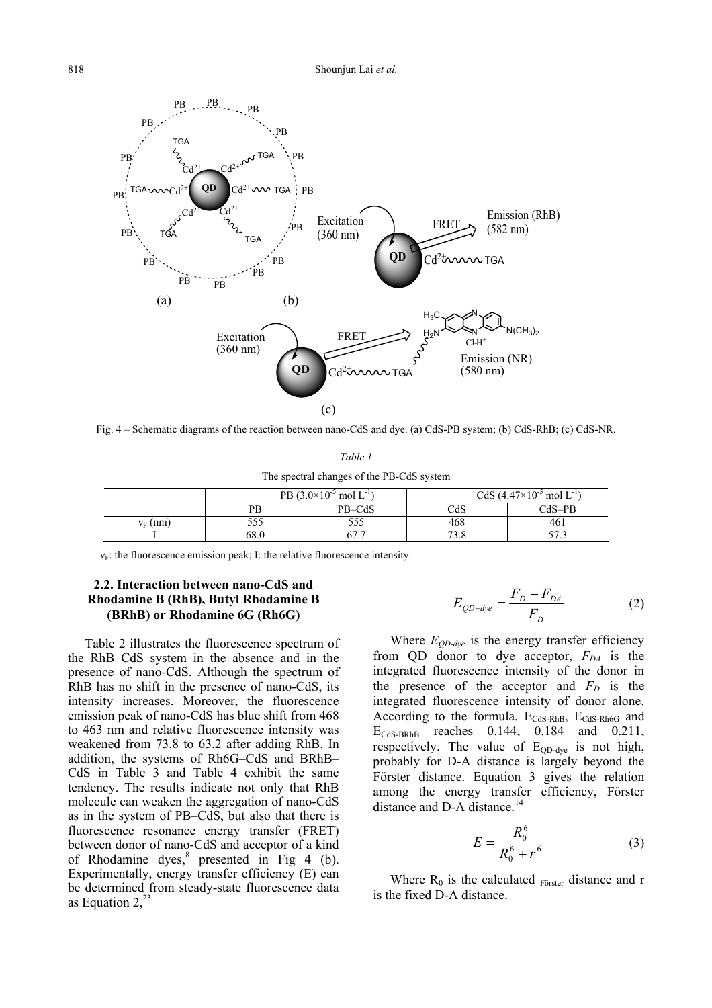

Fig. 4 – Schematic diagrams of the reaction between nano-CdS and dye. (a) CdS-PB system; (b) CdS-RhB; (c) CdS-NR.

*Table 1* 

The spectral changes of the PB-CdS system

|            | PB $(3.0\times10^{-5} \text{ mol L}^{-1})$ |        | CdS $(4.47\times10^{-5} \text{ mol L}^{-1})$ |        |
|------------|--------------------------------------------|--------|----------------------------------------------|--------|
|            | PB                                         | PB-CdS | CdS                                          | CdS–PB |
| $v_F$ (nm) | 555                                        | 555    | 468                                          | 461    |
|            | 68.0                                       | $ -$   | 72 O                                         | .      |

 $v_F$ : the fluorescence emission peak; I: the relative fluorescence intensity.

# **2.2. Interaction between nano-CdS and Rhodamine B (RhB), Butyl Rhodamine B (BRhB) or Rhodamine 6G (Rh6G)**

Table 2 illustrates the fluorescence spectrum of the RhB–CdS system in the absence and in the presence of nano-CdS. Although the spectrum of RhB has no shift in the presence of nano-CdS, its intensity increases. Moreover, the fluorescence emission peak of nano-CdS has blue shift from 468 to 463 nm and relative fluorescence intensity was weakened from 73.8 to 63.2 after adding RhB. In addition, the systems of Rh6G–CdS and BRhB– CdS in Table 3 and Table 4 exhibit the same tendency. The results indicate not only that RhB molecule can weaken the aggregation of nano-CdS as in the system of PB–CdS, but also that there is fluorescence resonance energy transfer (FRET) between donor of nano-CdS and acceptor of a kind of Rhodamine dyes, $8$  presented in Fig 4 (b). Experimentally, energy transfer efficiency (E) can be determined from steady-state fluorescence data as Equation  $2^{23}$ 

$$
E_{QD-dye} = \frac{F_D - F_{DA}}{F_D}
$$
 (2)

Where  $E_{OD-dye}$  is the energy transfer efficiency from QD donor to dye acceptor,  $F_{DA}$  is the integrated fluorescence intensity of the donor in the presence of the acceptor and  $F<sub>D</sub>$  is the integrated fluorescence intensity of donor alone. According to the formula, E<sub>CdS-RhB</sub>, E<sub>CdS-Rh6G</sub> and ECdS-BRhB reaches 0.144, 0.184 and 0.211, respectively. The value of  $E_{QD-dye}$  is not high, probably for D-A distance is largely beyond the Förster distance. Equation 3 gives the relation among the energy transfer efficiency, Förster distance and D-A distance.<sup>14</sup>

$$
E = \frac{R_0^6}{R_0^6 + r^6}
$$
 (3)

Where  $R_0$  is the calculated  $_{Förster}$  distance and r is the fixed D-A distance.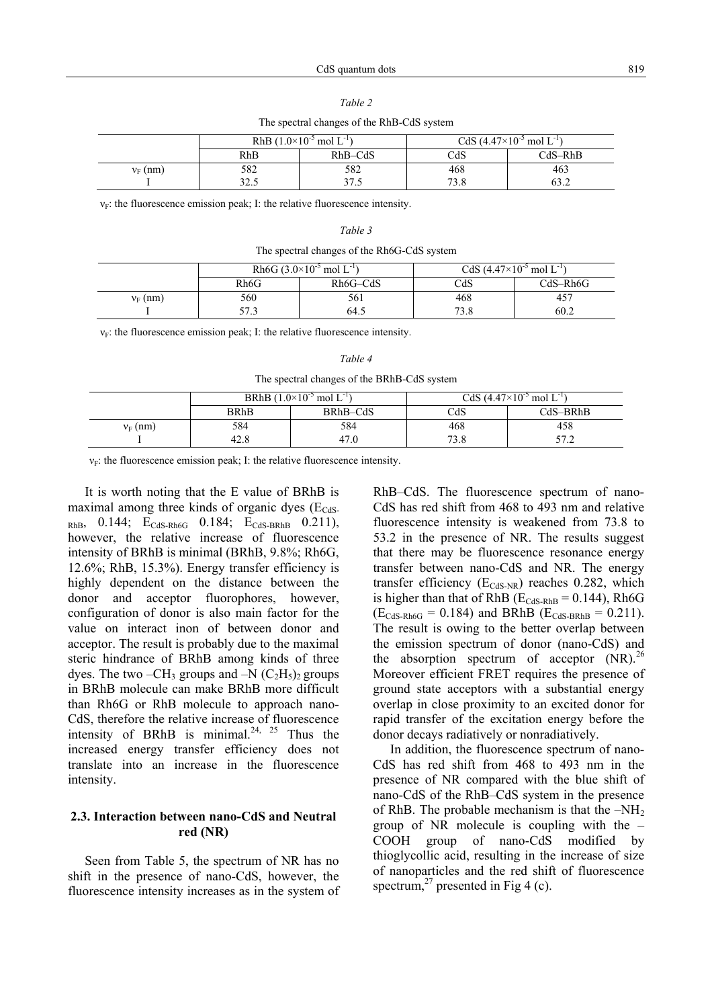| The spectral changes of the RhB-CdS system                                                    |                  |      |      |           |  |  |
|-----------------------------------------------------------------------------------------------|------------------|------|------|-----------|--|--|
| CdS $(4.47\times10^{-5} \text{ mol L}^{-1})$<br>RhB $(1.0\times10^{-5}$ mol L <sup>-1</sup> ) |                  |      |      |           |  |  |
|                                                                                               | $RhB-CdS$<br>RhB |      | CdS  | $CdS-RhB$ |  |  |
| $v_F$ (nm)                                                                                    | 582              | 582  | 468  | 463       |  |  |
|                                                                                               | ر. ، ۷           | つつ ん | 73.8 | 63.2      |  |  |

*Table 2* 

 $\overline{C}$ 

 $v_F$ : the fluorescence emission peak; I: the relative fluorescence intensity.

#### *Table 3*

| The spectral changes of the Rh6G-CdS system |  |  |  |
|---------------------------------------------|--|--|--|
|                                             |  |  |  |

|            | Rh6G $(3.0\times10^{-5}$ mol L <sup>-1</sup> ) |                       | CdS $(4.47\times10^{-5} \text{ mol L}^{-1})$ |            |
|------------|------------------------------------------------|-----------------------|----------------------------------------------|------------|
|            | Rh6G                                           | Rh <sub>6G</sub> -CdS | CdS                                          | $CdS-Rh6G$ |
| $v_F$ (nm) | 560                                            | 561                   | 468                                          | 40         |
|            | ヒワ つ<br>نہ ہ                                   | 64.5                  | 73.8                                         | 60.2       |

 $v_F$ : the fluorescence emission peak; I: the relative fluorescence intensity.

| I<br>۰,<br>× |  |
|--------------|--|
|--------------|--|

The spectral changes of the BRhB-CdS system

|            | BRhB $(1.0\times10^{-5}$ mol L <sup>-1</sup> ) |          | CdS $(4.47\times10^{-5} \text{ mol L}^{-1})$ |            |
|------------|------------------------------------------------|----------|----------------------------------------------|------------|
|            | BRhB                                           | BRhB-CdS | CdS                                          | $CdS-BRhB$ |
| $v_F$ (nm) | 584                                            | 584      | 468                                          | 458        |
|            | 42.8                                           | 47.0     | 73.8                                         | 57 2       |

 $v_F$ : the fluorescence emission peak; I: the relative fluorescence intensity.

It is worth noting that the E value of BRhB is maximal among three kinds of organic dyes  $(E_{\text{CdS}})$  $RhB$ , 0.144;  $E_{CdS-Rh6G}$  0.184;  $E_{CdS-BRhB}$  0.211), however, the relative increase of fluorescence intensity of BRhB is minimal (BRhB, 9.8%; Rh6G, 12.6%; RhB, 15.3%). Energy transfer efficiency is highly dependent on the distance between the donor and acceptor fluorophores, however, configuration of donor is also main factor for the value on interact inon of between donor and acceptor. The result is probably due to the maximal steric hindrance of BRhB among kinds of three dyes. The two –CH<sub>3</sub> groups and –N  $(C_2H_5)_2$  groups in BRhB molecule can make BRhB more difficult than Rh6G or RhB molecule to approach nano-CdS, therefore the relative increase of fluorescence intensity of BRhB is minimal.<sup>24, 25</sup> Thus the increased energy transfer efficiency does not translate into an increase in the fluorescence intensity.

# **2.3. Interaction between nano-CdS and Neutral red (NR)**

Seen from Table 5, the spectrum of NR has no shift in the presence of nano-CdS, however, the fluorescence intensity increases as in the system of RhB–CdS. The fluorescence spectrum of nano-CdS has red shift from 468 to 493 nm and relative fluorescence intensity is weakened from 73.8 to 53.2 in the presence of NR. The results suggest that there may be fluorescence resonance energy transfer between nano-CdS and NR. The energy transfer efficiency  $(E_{CdS-NR})$  reaches 0.282, which is higher than that of RhB ( $E_{CdS-RhB} = 0.144$ ), Rh6G  $(E_{CdS-Rh6G} = 0.184)$  and BRhB  $(E_{CdS-Rh6} = 0.211)$ . The result is owing to the better overlap between the emission spectrum of donor (nano-CdS) and the absorption spectrum of acceptor  $(NR)$ .<sup>26</sup> Moreover efficient FRET requires the presence of ground state acceptors with a substantial energy overlap in close proximity to an excited donor for rapid transfer of the excitation energy before the donor decays radiatively or nonradiatively.

In addition, the fluorescence spectrum of nano-CdS has red shift from 468 to 493 nm in the presence of NR compared with the blue shift of nano-CdS of the RhB–CdS system in the presence of RhB. The probable mechanism is that the  $-NH<sub>2</sub>$ group of NR molecule is coupling with the – COOH group of nano-CdS modified by thioglycollic acid, resulting in the increase of size of nanoparticles and the red shift of fluorescence spectrum,<sup>27</sup> presented in Fig 4 (c).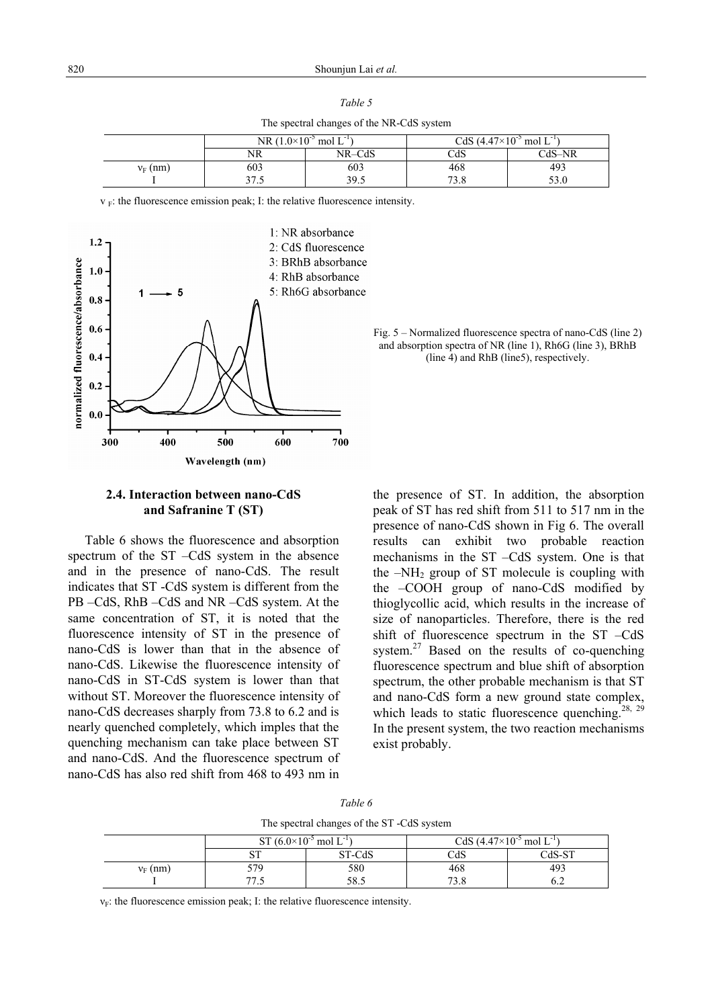The spectral changes of the NR-CdS system

|            | NR $(1.0\times10^{-5})$<br>mol $L^{-1}$ |        | CdS $(4.47\times10^{-5} \text{ mol L}^{-1})$ |          |
|------------|-----------------------------------------|--------|----------------------------------------------|----------|
|            | NR                                      | NR-CdS | CdS                                          | $CdS-NR$ |
| $v_F$ (nm) | 603                                     | 603    | 468                                          | 493      |
|            | 27r<br>ن. ا ر                           | 39.5   | 72 Q<br>2.0                                  | 53.0     |

 $v_F$ : the fluorescence emission peak; I: the relative fluorescence intensity.



# Fig. 5 – Normalized fluorescence spectra of nano-CdS (line 2) and absorption spectra of NR (line 1), Rh6G (line 3), BRhB (line 4) and RhB (line5), respectively.

# **2.4. Interaction between nano-CdS and Safranine T (ST)**

Table 6 shows the fluorescence and absorption spectrum of the ST –CdS system in the absence and in the presence of nano-CdS. The result indicates that ST -CdS system is different from the PB –CdS, RhB –CdS and NR –CdS system. At the same concentration of ST, it is noted that the fluorescence intensity of ST in the presence of nano-CdS is lower than that in the absence of nano-CdS. Likewise the fluorescence intensity of nano-CdS in ST-CdS system is lower than that without ST. Moreover the fluorescence intensity of nano-CdS decreases sharply from 73.8 to 6.2 and is nearly quenched completely, which imples that the quenching mechanism can take place between ST and nano-CdS. And the fluorescence spectrum of nano-CdS has also red shift from 468 to 493 nm in

the presence of ST. In addition, the absorption peak of ST has red shift from 511 to 517 nm in the presence of nano-CdS shown in Fig 6. The overall results can exhibit two probable reaction mechanisms in the ST –CdS system. One is that the  $-NH<sub>2</sub>$  group of ST molecule is coupling with the –COOH group of nano-CdS modified by thioglycollic acid, which results in the increase of size of nanoparticles. Therefore, there is the red shift of fluorescence spectrum in the ST –CdS system.<sup>27</sup> Based on the results of co-quenching fluorescence spectrum and blue shift of absorption spectrum, the other probable mechanism is that ST and nano-CdS form a new ground state complex, which leads to static fluorescence quenching.<sup>28, 29</sup> In the present system, the two reaction mechanisms exist probably.

| Table 6                                   |
|-------------------------------------------|
| The spectral changes of the ST-CdS system |

|            | ST $(6.0\times10^{-5} \text{ mol L}^{-1})$ |        | CdS $(4.47\times10^{-5} \text{ mol L}^{-1})$ |          |
|------------|--------------------------------------------|--------|----------------------------------------------|----------|
|            | oт<br>ບ⊥                                   | ST-CdS | CdS                                          | $CdS-ST$ |
| $v_F$ (nm) | 579                                        | 580    | 468                                          | 493      |
|            | 77<br>ن ،                                  | 58.5   | 72 Q                                         | ∪.∠      |

 $v_F$ : the fluorescence emission peak; I: the relative fluorescence intensity.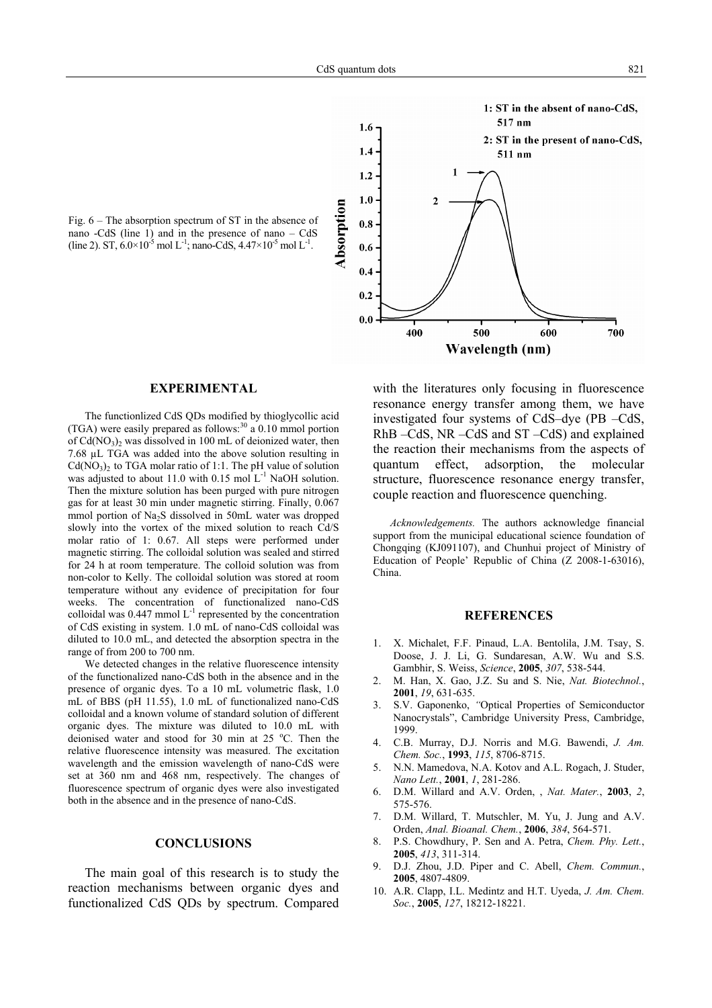Fig. 6 – The absorption spectrum of ST in the absence of nano -CdS (line 1) and in the presence of nano – CdS (line 2). ST,  $6.0 \times 10^{-5}$  mol L<sup>-1</sup>; nano-CdS,  $4.47 \times 10^{-5}$  mol L<sup>-1</sup>.



### **EXPERIMENTAL**

The functionlized CdS QDs modified by thioglycollic acid (TGA) were easily prepared as follows: $^{30}$  a 0.10 mmol portion of  $Cd(NO<sub>3</sub>)<sub>2</sub>$  was dissolved in 100 mL of deionized water, then 7.68 µL TGA was added into the above solution resulting in  $Cd(NO<sub>3</sub>)<sub>2</sub>$  to TGA molar ratio of 1:1. The pH value of solution was adjusted to about 11.0 with 0.15 mol  $L^{-1}$  NaOH solution. Then the mixture solution has been purged with pure nitrogen gas for at least 30 min under magnetic stirring. Finally, 0.067 mmol portion of Na<sub>2</sub>S dissolved in 50mL water was dropped slowly into the vortex of the mixed solution to reach Cd/S molar ratio of 1: 0.67. All steps were performed under magnetic stirring. The colloidal solution was sealed and stirred for 24 h at room temperature. The colloid solution was from non-color to Kelly. The colloidal solution was stored at room temperature without any evidence of precipitation for four weeks. The concentration of functionalized nano-CdS colloidal was  $0.447$  mmol  $L^{-1}$  represented by the concentration of CdS existing in system. 1.0 mL of nano-CdS colloidal was diluted to 10.0 mL, and detected the absorption spectra in the range of from 200 to 700 nm.

We detected changes in the relative fluorescence intensity of the functionalized nano-CdS both in the absence and in the presence of organic dyes. To a 10 mL volumetric flask, 1.0 mL of BBS (pH 11.55), 1.0 mL of functionalized nano-CdS colloidal and a known volume of standard solution of different organic dyes. The mixture was diluted to 10.0 mL with deionised water and stood for 30 min at 25 °C. Then the relative fluorescence intensity was measured. The excitation wavelength and the emission wavelength of nano-CdS were set at 360 nm and 468 nm, respectively. The changes of fluorescence spectrum of organic dyes were also investigated both in the absence and in the presence of nano-CdS.

### **CONCLUSIONS**

The main goal of this research is to study the reaction mechanisms between organic dyes and functionalized CdS QDs by spectrum. Compared with the literatures only focusing in fluorescence resonance energy transfer among them, we have investigated four systems of CdS–dye (PB –CdS, RhB –CdS, NR –CdS and ST –CdS) and explained the reaction their mechanisms from the aspects of quantum effect, adsorption, the molecular structure, fluorescence resonance energy transfer, couple reaction and fluorescence quenching.

*Acknowledgements.* The authors acknowledge financial support from the municipal educational science foundation of Chongqing (KJ091107), and Chunhui project of Ministry of Education of People' Republic of China (Z 2008-1-63016), China.

### **REFERENCES**

- 1. X. Michalet, F.F. Pinaud, L.A. Bentolila, J.M. Tsay, S. Doose, J. J. Li, G. Sundaresan, A.W. Wu and S.S. Gambhir, S. Weiss, *Science*, **2005**, *307*, 538-544.
- 2. M. Han, X. Gao, J.Z. Su and S. Nie, *Nat. Biotechnol.*, **2001**, *19*, 631-635.
- 3. S.V. Gaponenko, *"*Optical Properties of Semiconductor Nanocrystals", Cambridge University Press, Cambridge, 1999.
- 4. C.B. Murray, D.J. Norris and M.G. Bawendi, *J. Am. Chem. Soc.*, **1993**, *115*, 8706-8715.
- 5. N.N. Mamedova, N.A. Kotov and A.L. Rogach, J. Studer, *Nano Lett.*, **2001**, *1*, 281-286.
- 6. D.M. Willard and A.V. Orden, , *Nat. Mater.*, **2003**, *2*, 575-576.
- 7. D.M. Willard, T. Mutschler, M. Yu, J. Jung and A.V. Orden, *Anal. Bioanal. Chem.*, **2006**, *384*, 564-571.
- 8. P.S. Chowdhury, P. Sen and A. Petra, *Chem. Phy. Lett.*, **2005**, *413*, 311-314.
- 9. D.J. Zhou, J.D. Piper and C. Abell, *Chem. Commun.*, **2005**, 4807-4809.
- 10. A.R. Clapp, I.L. Medintz and H.T. Uyeda, *J. Am. Chem. Soc.*, **2005**, *127*, 18212-18221.